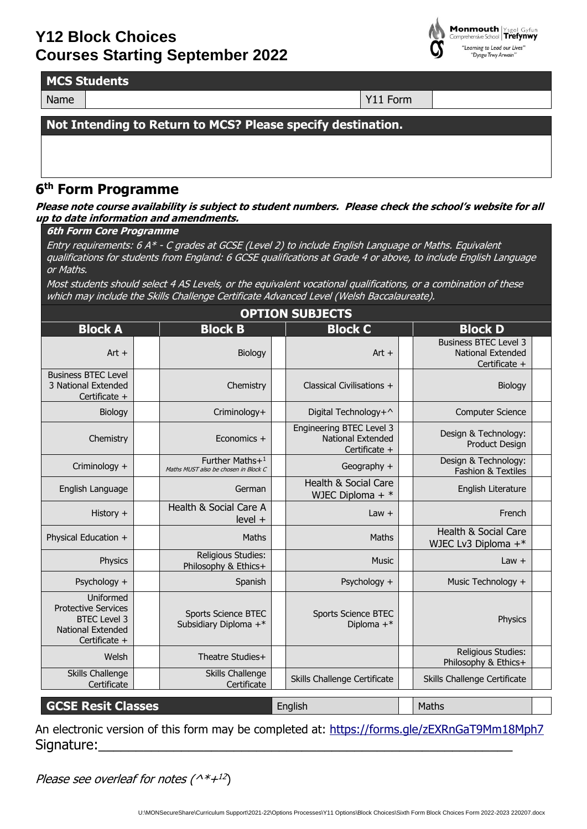

**MCS Students**

Name  $\vert$  Y11 Form

**Not Intending to Return to MCS? Please specify destination.**

## **6 th Form Programme**

**Please note course availability is subject to student numbers. Please check the school's website for all up to date information and amendments.**

## **6th Form Core Programme**

Entry requirements: 6 A\* - C grades at GCSE (Level 2) to include English Language or Maths. Equivalent qualifications for students from England: 6 GCSE qualifications at Grade 4 or above, to include English Language or Maths.

Most students should select 4 AS Levels, or the equivalent vocational qualifications, or a combination of these which may include the Skills Challenge Certificate Advanced Level (Welsh Baccalaureate).

| <b>OPTION SUBJECTS</b>                                                                                      |  |                                                         |  |                                                                       |  |                                                                           |  |
|-------------------------------------------------------------------------------------------------------------|--|---------------------------------------------------------|--|-----------------------------------------------------------------------|--|---------------------------------------------------------------------------|--|
| <b>Block A</b>                                                                                              |  | <b>Block B</b>                                          |  | <b>Block C</b>                                                        |  | <b>Block D</b>                                                            |  |
| $Art +$                                                                                                     |  | Biology                                                 |  | $Art +$                                                               |  | <b>Business BTEC Level 3</b><br><b>National Extended</b><br>Certificate + |  |
| <b>Business BTEC Level</b><br>3 National Extended<br>Certificate +                                          |  | Chemistry                                               |  | Classical Civilisations +                                             |  | Biology                                                                   |  |
| Biology                                                                                                     |  | Criminology+                                            |  | Digital Technology+^                                                  |  | <b>Computer Science</b>                                                   |  |
| Chemistry                                                                                                   |  | Economics +                                             |  | Engineering BTEC Level 3<br><b>National Extended</b><br>Certificate + |  | Design & Technology:<br><b>Product Design</b>                             |  |
| Criminology +                                                                                               |  | Further Maths+1<br>Maths MUST also be chosen in Block C |  | Geography +                                                           |  | Design & Technology:<br><b>Fashion &amp; Textiles</b>                     |  |
| English Language                                                                                            |  | German                                                  |  | Health & Social Care<br>WJEC Diploma + $*$                            |  | English Literature                                                        |  |
| History +                                                                                                   |  | Health & Social Care A<br>$level +$                     |  | $Law +$                                                               |  | French                                                                    |  |
| Physical Education +                                                                                        |  | Maths                                                   |  | Maths                                                                 |  | Health & Social Care<br>WJEC Lv3 Diploma +*                               |  |
| Physics                                                                                                     |  | Religious Studies:<br>Philosophy & Ethics+              |  | Music                                                                 |  | $Law +$                                                                   |  |
| Psychology +                                                                                                |  | Spanish                                                 |  | Psychology +                                                          |  | Music Technology +                                                        |  |
| Uniformed<br><b>Protective Services</b><br><b>BTEC Level 3</b><br><b>National Extended</b><br>Certificate + |  | <b>Sports Science BTEC</b><br>Subsidiary Diploma +*     |  | <b>Sports Science BTEC</b><br>Diploma $+$ *                           |  | Physics                                                                   |  |
| Welsh                                                                                                       |  | Theatre Studies+                                        |  |                                                                       |  | <b>Religious Studies:</b><br>Philosophy & Ethics+                         |  |
| <b>Skills Challenge</b><br>Certificate                                                                      |  | Skills Challenge<br>Certificate                         |  | Skills Challenge Certificate                                          |  | Skills Challenge Certificate                                              |  |
| <b>GCSE Resit Classes</b>                                                                                   |  |                                                         |  | English                                                               |  | Maths                                                                     |  |

An electronic version of this form may be completed at:<https://forms.gle/zEXRnGaT9Mm18Mph7> Signature:

Please see overleaf for notes (^\*+ $^{12})$